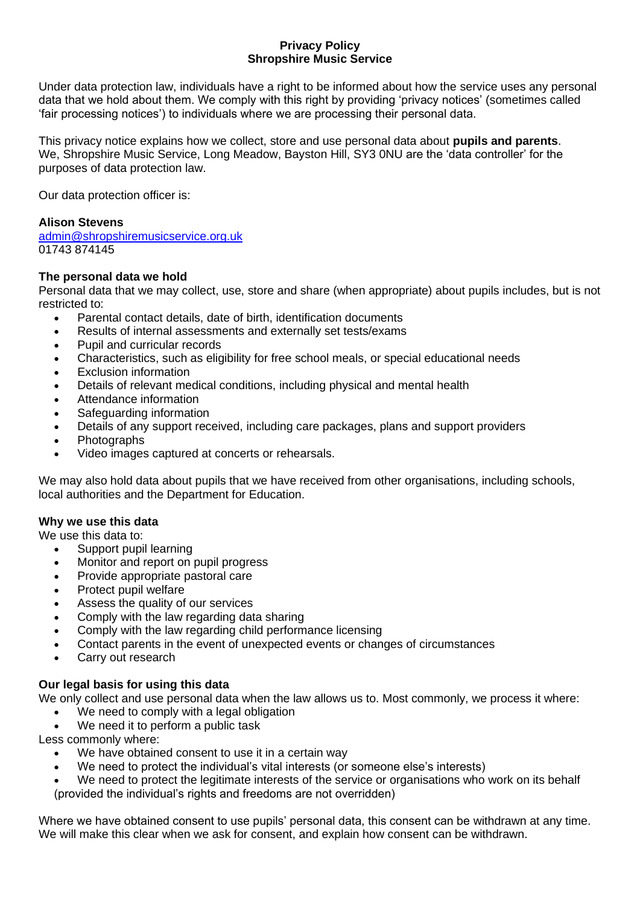## **Privacy Policy Shropshire Music Service**

Under data protection law, individuals have a right to be informed about how the service uses any personal data that we hold about them. We comply with this right by providing 'privacy notices' (sometimes called 'fair processing notices') to individuals where we are processing their personal data.

This privacy notice explains how we collect, store and use personal data about **pupils and parents**. We, Shropshire Music Service, Long Meadow, Bayston Hill, SY3 0NU are the 'data controller' for the purposes of data protection law.

Our data protection officer is:

## **Alison Stevens**

[admin@shropshiremusicservice.org.uk](mailto:admin@shropshiremusicservice.org.uk) 01743 874145

## **The personal data we hold**

Personal data that we may collect, use, store and share (when appropriate) about pupils includes, but is not restricted to:

- Parental contact details, date of birth, identification documents
- Results of internal assessments and externally set tests/exams
- Pupil and curricular records
- Characteristics, such as eligibility for free school meals, or special educational needs
- **Exclusion information**
- Details of relevant medical conditions, including physical and mental health
- Attendance information
- Safeguarding information
- Details of any support received, including care packages, plans and support providers
- Photographs
- Video images captured at concerts or rehearsals.

We may also hold data about pupils that we have received from other organisations, including schools, local authorities and the Department for Education.

## **Why we use this data**

We use this data to:

- Support pupil learning
- Monitor and report on pupil progress
- Provide appropriate pastoral care
- Protect pupil welfare
- Assess the quality of our services
- Comply with the law regarding data sharing
- Comply with the law regarding child performance licensing
- Contact parents in the event of unexpected events or changes of circumstances
- Carry out research

# **Our legal basis for using this data**

We only collect and use personal data when the law allows us to. Most commonly, we process it where:

- We need to comply with a legal obligation
- We need it to perform a public task

Less commonly where:

- We have obtained consent to use it in a certain way
- We need to protect the individual's vital interests (or someone else's interests)
- We need to protect the legitimate interests of the service or organisations who work on its behalf (provided the individual's rights and freedoms are not overridden)

Where we have obtained consent to use pupils' personal data, this consent can be withdrawn at any time. We will make this clear when we ask for consent, and explain how consent can be withdrawn.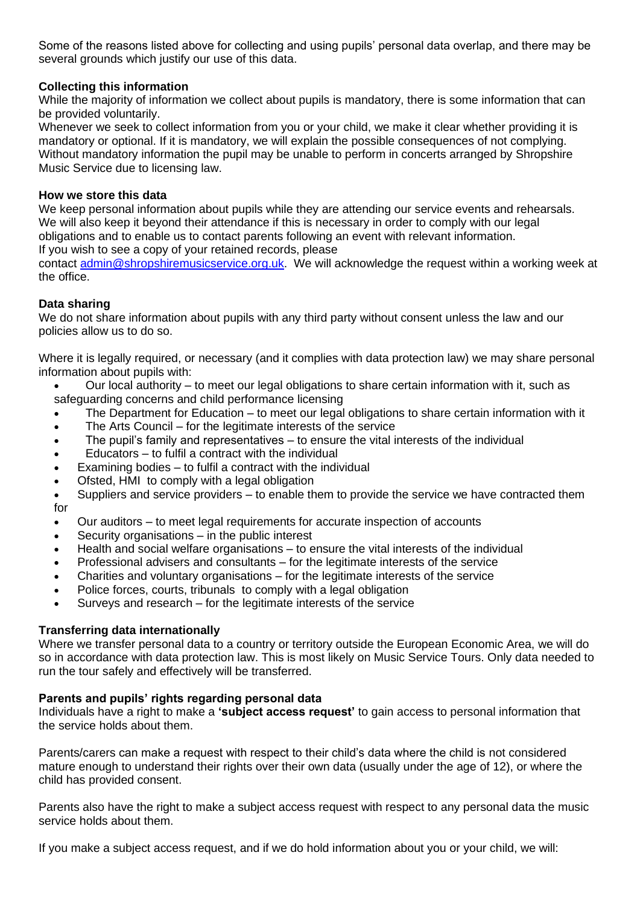Some of the reasons listed above for collecting and using pupils' personal data overlap, and there may be several grounds which justify our use of this data.

## **Collecting this information**

While the majority of information we collect about pupils is mandatory, there is some information that can be provided voluntarily.

Whenever we seek to collect information from you or your child, we make it clear whether providing it is mandatory or optional. If it is mandatory, we will explain the possible consequences of not complying. Without mandatory information the pupil may be unable to perform in concerts arranged by Shropshire Music Service due to licensing law.

## **How we store this data**

We keep personal information about pupils while they are attending our service events and rehearsals. We will also keep it beyond their attendance if this is necessary in order to comply with our legal obligations and to enable us to contact parents following an event with relevant information.

If you wish to see a copy of your retained records, please

contact [admin@shropshiremusicservice.org.uk.](mailto:admin@shropshiremusicservice.org.uk) We will acknowledge the request within a working week at the office.

## **Data sharing**

We do not share information about pupils with any third party without consent unless the law and our policies allow us to do so.

Where it is legally required, or necessary (and it complies with data protection law) we may share personal information about pupils with:

- Our local authority to meet our legal obligations to share certain information with it, such as safeguarding concerns and child performance licensing
- The Department for Education to meet our legal obligations to share certain information with it
- The Arts Council for the legitimate interests of the service
- The pupil's family and representatives to ensure the vital interests of the individual
- Educators to fulfil a contract with the individual
- Examining bodies to fulfil a contract with the individual
- Ofsted, HMI to comply with a legal obligation

• Suppliers and service providers – to enable them to provide the service we have contracted them for

- Our auditors to meet legal requirements for accurate inspection of accounts
- Security organisations  $-$  in the public interest
- Health and social welfare organisations to ensure the vital interests of the individual
- Professional advisers and consultants for the legitimate interests of the service
- Charities and voluntary organisations for the legitimate interests of the service
- Police forces, courts, tribunals to comply with a legal obligation
- Surveys and research for the legitimate interests of the service

## **Transferring data internationally**

Where we transfer personal data to a country or territory outside the European Economic Area, we will do so in accordance with data protection law. This is most likely on Music Service Tours. Only data needed to run the tour safely and effectively will be transferred.

## **Parents and pupils' rights regarding personal data**

Individuals have a right to make a **'subject access request'** to gain access to personal information that the service holds about them.

Parents/carers can make a request with respect to their child's data where the child is not considered mature enough to understand their rights over their own data (usually under the age of 12), or where the child has provided consent.

Parents also have the right to make a subject access request with respect to any personal data the music service holds about them.

If you make a subject access request, and if we do hold information about you or your child, we will: